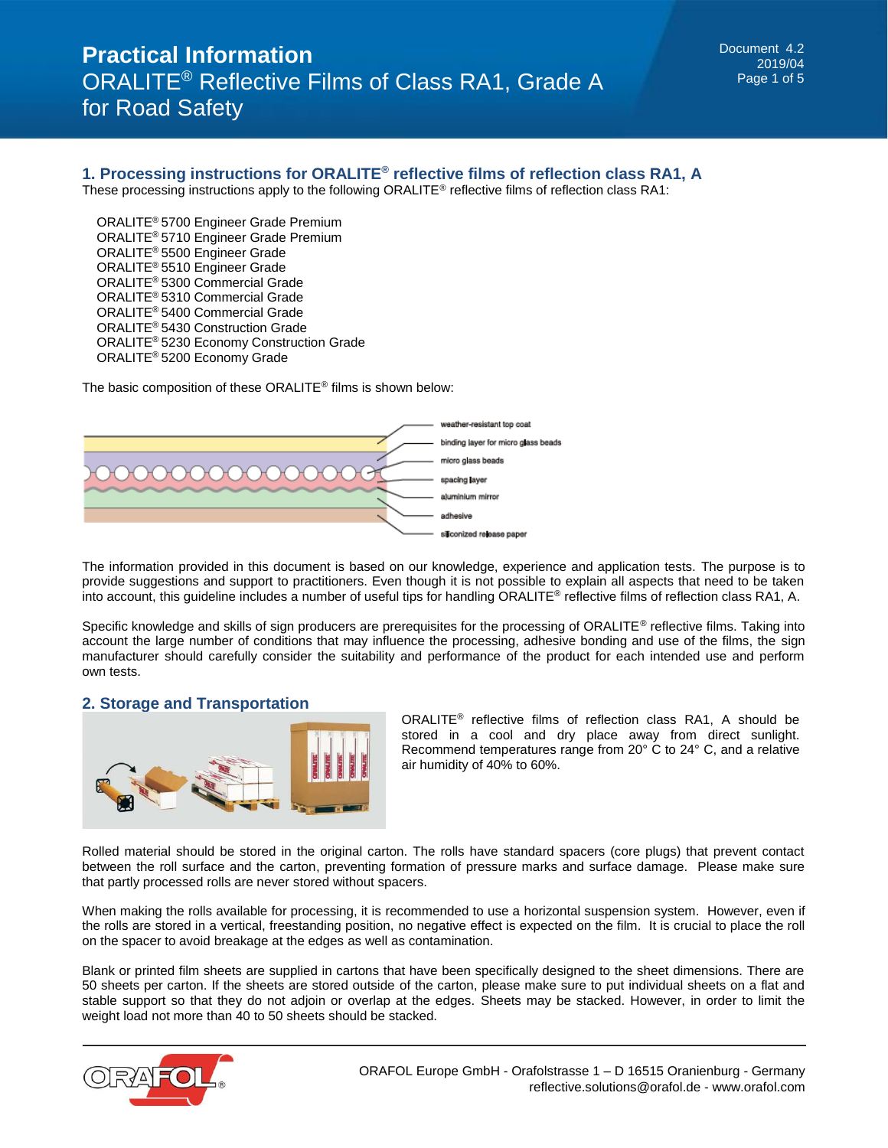### **1. Processing instructions for ORALITE® reflective films of reflection class RA1, A**

These processing instructions apply to the following ORALITE<sup>®</sup> reflective films of reflection class RA1:

 ORALITE® 5700 Engineer Grade Premium ORALITE® 5710 Engineer Grade Premium ORALITE® 5500 Engineer Grade ORALITE® 5510 Engineer Grade ORALITE® 5300 Commercial Grade ORALITE® 5310 Commercial Grade ORALITE® 5400 Commercial Grade ORALITE® 5430 Construction Grade ORALITE® 5230 Economy Construction Grade ORALITE® 5200 Economy Grade

The basic composition of these ORALITE® films is shown below:



The information provided in this document is based on our knowledge, experience and application tests. The purpose is to provide suggestions and support to practitioners. Even though it is not possible to explain all aspects that need to be taken into account, this guideline includes a number of useful tips for handling ORALITE® reflective films of reflection class RA1, A.

Specific knowledge and skills of sign producers are prerequisites for the processing of ORALITE<sup>®</sup> reflective films. Taking into account the large number of conditions that may influence the processing, adhesive bonding and use of the films, the sign manufacturer should carefully consider the suitability and performance of the product for each intended use and perform own tests.

#### **2. Storage and Transportation**



ORALITE® reflective films of reflection class RA1, A should be stored in a cool and dry place away from direct sunlight. Recommend temperatures range from 20° C to 24° C, and a relative air humidity of 40% to 60%.

Rolled material should be stored in the original carton. The rolls have standard spacers (core plugs) that prevent contact between the roll surface and the carton, preventing formation of pressure marks and surface damage. Please make sure that partly processed rolls are never stored without spacers.

When making the rolls available for processing, it is recommended to use a horizontal suspension system. However, even if the rolls are stored in a vertical, freestanding position, no negative effect is expected on the film. It is crucial to place the roll on the spacer to avoid breakage at the edges as well as contamination.

Blank or printed film sheets are supplied in cartons that have been specifically designed to the sheet dimensions. There are 50 sheets per carton. If the sheets are stored outside of the carton, please make sure to put individual sheets on a flat and stable support so that they do not adjoin or overlap at the edges. Sheets may be stacked. However, in order to limit the weight load not more than 40 to 50 sheets should be stacked.

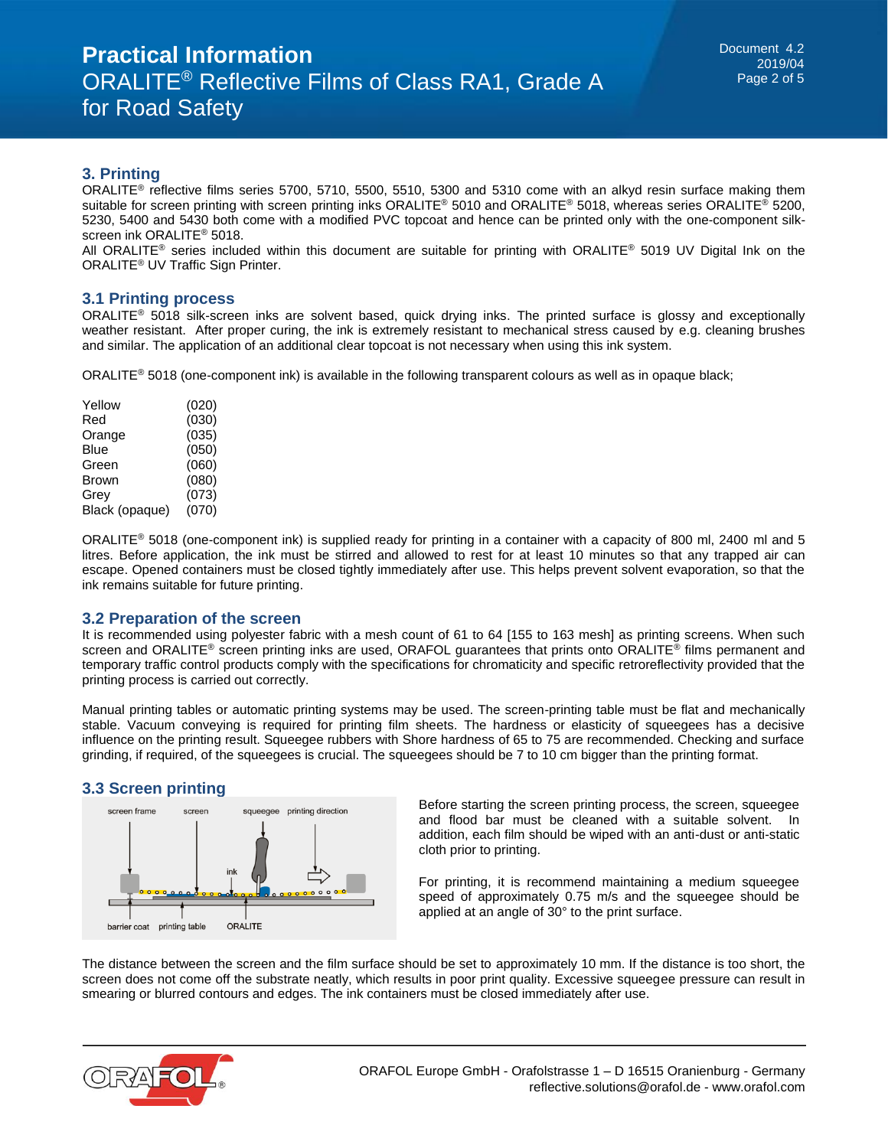### **3. Printing**

ORALITE<sup>®</sup> reflective films series 5700, 5710, 5500, 5510, 5300 and 5310 come with an alkyd resin surface making them suitable for screen printing with screen printing inks ORALITE® 5010 and ORALITE® 5018, whereas series ORALITE® 5200, 5230, 5400 and 5430 both come with a modified PVC topcoat and hence can be printed only with the one-component silkscreen ink ORALITE® 5018.

All ORALITE® series included within this document are suitable for printing with ORALITE® 5019 UV Digital Ink on the ORALITE® UV Traffic Sign Printer.

#### **3.1 Printing process**

ORALITE® 5018 silk-screen inks are solvent based, quick drying inks. The printed surface is glossy and exceptionally weather resistant. After proper curing, the ink is extremely resistant to mechanical stress caused by e.g. cleaning brushes and similar. The application of an additional clear topcoat is not necessary when using this ink system.

ORALITE® 5018 (one-component ink) is available in the following transparent colours as well as in opaque black;

| Yellow         | (020) |
|----------------|-------|
| Red            | (030) |
| Orange         | (035) |
| Blue           | (050) |
| Green          | (060) |
| Brown          | (080) |
| Grev           | (073) |
| Black (opaque) | (070) |
|                |       |

ORALITE<sup>®</sup> 5018 (one-component ink) is supplied ready for printing in a container with a capacity of 800 ml, 2400 ml and 5 litres. Before application, the ink must be stirred and allowed to rest for at least 10 minutes so that any trapped air can escape. Opened containers must be closed tightly immediately after use. This helps prevent solvent evaporation, so that the ink remains suitable for future printing.

#### **3.2 Preparation of the screen**

It is recommended using polyester fabric with a mesh count of 61 to 64 [155 to 163 mesh] as printing screens. When such screen and ORALITE® screen printing inks are used, ORAFOL guarantees that prints onto ORALITE® films permanent and temporary traffic control products comply with the specifications for chromaticity and specific retroreflectivity provided that the printing process is carried out correctly.

Manual printing tables or automatic printing systems may be used. The screen-printing table must be flat and mechanically stable. Vacuum conveying is required for printing film sheets. The hardness or elasticity of squeegees has a decisive influence on the printing result. Squeegee rubbers with Shore hardness of 65 to 75 are recommended. Checking and surface grinding, if required, of the squeegees is crucial. The squeegees should be 7 to 10 cm bigger than the printing format.

#### **3.3 Screen printing**



Before starting the screen printing process, the screen, squeegee and flood bar must be cleaned with a suitable solvent. In addition, each film should be wiped with an anti-dust or anti-static cloth prior to printing.

For printing, it is recommend maintaining a medium squeegee speed of approximately 0.75 m/s and the squeegee should be applied at an angle of 30° to the print surface.

The distance between the screen and the film surface should be set to approximately 10 mm. If the distance is too short, the screen does not come off the substrate neatly, which results in poor print quality. Excessive squeegee pressure can result in smearing or blurred contours and edges. The ink containers must be closed immediately after use.

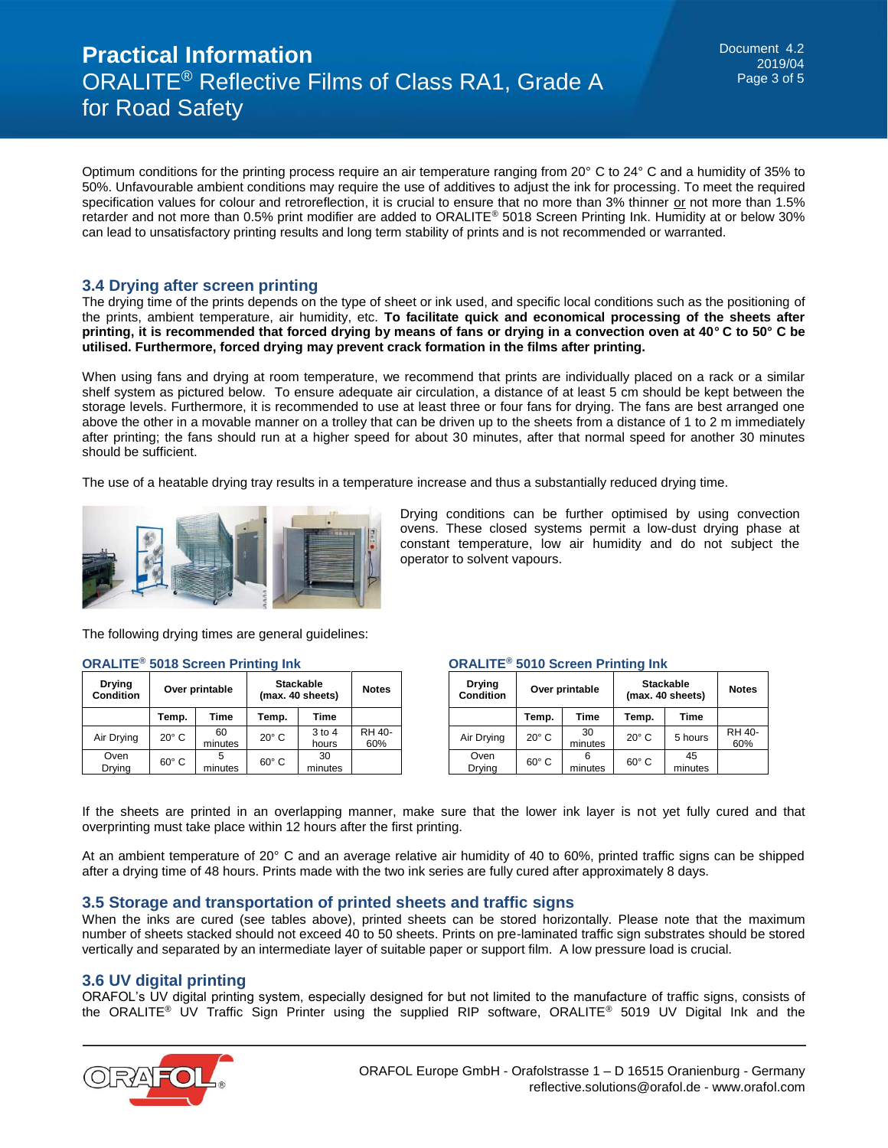# **Practical Information** ORALITE® Reflective Films of Class RA1, Grade A for Road Safety

Optimum conditions for the printing process require an air temperature ranging from 20° C to 24° C and a humidity of 35% to 50%. Unfavourable ambient conditions may require the use of additives to adjust the ink for processing. To meet the required specification values for colour and retroreflection, it is crucial to ensure that no more than 3% thinner or not more than 1.5% retarder and not more than 0.5% print modifier are added to ORALITE® 5018 Screen Printing Ink. Humidity at or below 30% can lead to unsatisfactory printing results and long term stability of prints and is not recommended or warranted.

# **3.4 Drying after screen printing**

The drying time of the prints depends on the type of sheet or ink used, and specific local conditions such as the positioning of the prints, ambient temperature, air humidity, etc. **To facilitate quick and economical processing of the sheets after printing, it is recommended that forced drying by means of fans or drying in a convection oven at 40° C to 50° C be utilised. Furthermore, forced drying may prevent crack formation in the films after printing.** 

When using fans and drying at room temperature, we recommend that prints are individually placed on a rack or a similar shelf system as pictured below. To ensure adequate air circulation, a distance of at least 5 cm should be kept between the storage levels. Furthermore, it is recommended to use at least three or four fans for drying. The fans are best arranged one above the other in a movable manner on a trolley that can be driven up to the sheets from a distance of 1 to 2 m immediately after printing; the fans should run at a higher speed for about 30 minutes, after that normal speed for another 30 minutes should be sufficient.

The use of a heatable drying tray results in a temperature increase and thus a substantially reduced drying time.



Drying conditions can be further optimised by using convection ovens. These closed systems permit a low-dust drying phase at constant temperature, low air humidity and do not subject the operator to solvent vapours.

The following drying times are general guidelines:

| <b>Drying</b><br><b>Condition</b> | Over printable |               | <b>Stackable</b><br>(max. 40 sheets) |                     | <b>Notes</b>  |
|-----------------------------------|----------------|---------------|--------------------------------------|---------------------|---------------|
|                                   | Temp.          | Time          | Temp.                                | <b>Time</b>         |               |
| Air Drying                        | $20^\circ$ C   | 60<br>minutes | $20^\circ$ C                         | $3$ to $4$<br>hours | RH 40-<br>60% |
| Oven<br>Drying                    | $60^\circ$ C   | minutes       | $60^\circ$ C                         | 30<br>minutes       |               |

#### **ORALITE® 5018 Screen Printing Ink**

| <b>ORALITE<sup>®</sup> 5010 Screen Printing Ink</b> |  |  |  |  |
|-----------------------------------------------------|--|--|--|--|
|-----------------------------------------------------|--|--|--|--|

| <b>Drying</b><br><b>Condition</b> | Over printable |               | <b>Stackable</b><br>(max. 40 sheets) |               | <b>Notes</b>  |
|-----------------------------------|----------------|---------------|--------------------------------------|---------------|---------------|
|                                   | Temp.          | Time          | Temp.                                | Time          |               |
| Air Drying                        | $20^\circ$ C   | 30<br>minutes | $20^\circ$ C                         | 5 hours       | RH 40-<br>60% |
| Oven<br>Drying                    | $60^{\circ}$ C | minutes       | $60^\circ$ C                         | 45<br>minutes |               |

If the sheets are printed in an overlapping manner, make sure that the lower ink layer is not yet fully cured and that overprinting must take place within 12 hours after the first printing.

At an ambient temperature of 20° C and an average relative air humidity of 40 to 60%, printed traffic signs can be shipped after a drying time of 48 hours. Prints made with the two ink series are fully cured after approximately 8 days.

#### **3.5 Storage and transportation of printed sheets and traffic signs**

When the inks are cured (see tables above), printed sheets can be stored horizontally. Please note that the maximum number of sheets stacked should not exceed 40 to 50 sheets. Prints on pre-laminated traffic sign substrates should be stored vertically and separated by an intermediate layer of suitable paper or support film. A low pressure load is crucial.

#### **3.6 UV digital printing**

ORAFOL's UV digital printing system, especially designed for but not limited to the manufacture of traffic signs, consists of the ORALITE® UV Traffic Sign Printer using the supplied RIP software, ORALITE® 5019 UV Digital Ink and the

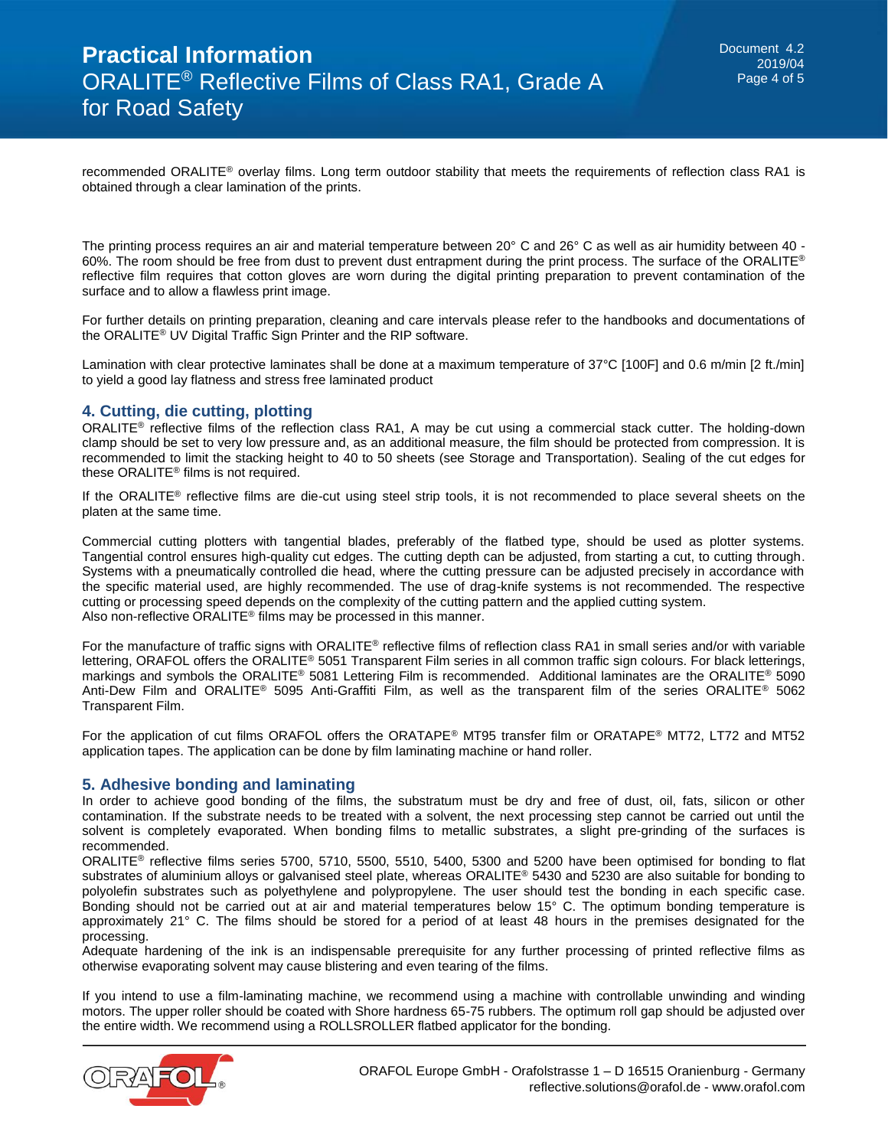recommended ORALITE<sup>®</sup> overlay films. Long term outdoor stability that meets the requirements of reflection class RA1 is obtained through a clear lamination of the prints.

The printing process requires an air and material temperature between 20° C and 26° C as well as air humidity between 40 - 60%. The room should be free from dust to prevent dust entrapment during the print process. The surface of the ORALITE® reflective film requires that cotton gloves are worn during the digital printing preparation to prevent contamination of the surface and to allow a flawless print image.

For further details on printing preparation, cleaning and care intervals please refer to the handbooks and documentations of the ORALITE® UV Digital Traffic Sign Printer and the RIP software.

Lamination with clear protective laminates shall be done at a maximum temperature of 37°C [100F] and 0.6 m/min [2 ft./min] to yield a good lay flatness and stress free laminated product

## **4. Cutting, die cutting, plotting**

ORALITE<sup>®</sup> reflective films of the reflection class RA1, A may be cut using a commercial stack cutter. The holding-down clamp should be set to very low pressure and, as an additional measure, the film should be protected from compression. It is recommended to limit the stacking height to 40 to 50 sheets (see Storage and Transportation). Sealing of the cut edges for these ORALITE® films is not required.

If the ORALITE<sup>®</sup> reflective films are die-cut using steel strip tools, it is not recommended to place several sheets on the platen at the same time.

Commercial cutting plotters with tangential blades, preferably of the flatbed type, should be used as plotter systems. Tangential control ensures high-quality cut edges. The cutting depth can be adjusted, from starting a cut, to cutting through. Systems with a pneumatically controlled die head, where the cutting pressure can be adjusted precisely in accordance with the specific material used, are highly recommended. The use of drag-knife systems is not recommended. The respective cutting or processing speed depends on the complexity of the cutting pattern and the applied cutting system. Also non-reflective ORALITE® films may be processed in this manner.

For the manufacture of traffic signs with ORALITE® reflective films of reflection class RA1 in small series and/or with variable lettering, ORAFOL offers the ORALITE® 5051 Transparent Film series in all common traffic sign colours. For black letterings, markings and symbols the ORALITE® 5081 Lettering Film is recommended. Additional laminates are the ORALITE® 5090 Anti-Dew Film and ORALITE® 5095 Anti-Graffiti Film, as well as the transparent film of the series ORALITE® 5062 Transparent Film.

For the application of cut films ORAFOL offers the ORATAPE® MT95 transfer film or ORATAPE® MT72, LT72 and MT52 application tapes. The application can be done by film laminating machine or hand roller.

#### **5. Adhesive bonding and laminating**

In order to achieve good bonding of the films, the substratum must be dry and free of dust, oil, fats, silicon or other contamination. If the substrate needs to be treated with a solvent, the next processing step cannot be carried out until the solvent is completely evaporated. When bonding films to metallic substrates, a slight pre-grinding of the surfaces is recommended.

ORALITE® reflective films series 5700, 5710, 5500, 5510, 5400, 5300 and 5200 have been optimised for bonding to flat substrates of aluminium alloys or galvanised steel plate, whereas ORALITE® 5430 and 5230 are also suitable for bonding to polyolefin substrates such as polyethylene and polypropylene. The user should test the bonding in each specific case. Bonding should not be carried out at air and material temperatures below 15° C. The optimum bonding temperature is approximately 21° C. The films should be stored for a period of at least 48 hours in the premises designated for the processing.

Adequate hardening of the ink is an indispensable prerequisite for any further processing of printed reflective films as otherwise evaporating solvent may cause blistering and even tearing of the films.

If you intend to use a film-laminating machine, we recommend using a machine with controllable unwinding and winding motors. The upper roller should be coated with Shore hardness 65-75 rubbers. The optimum roll gap should be adjusted over the entire width. We recommend using a ROLLSROLLER flatbed applicator for the bonding.

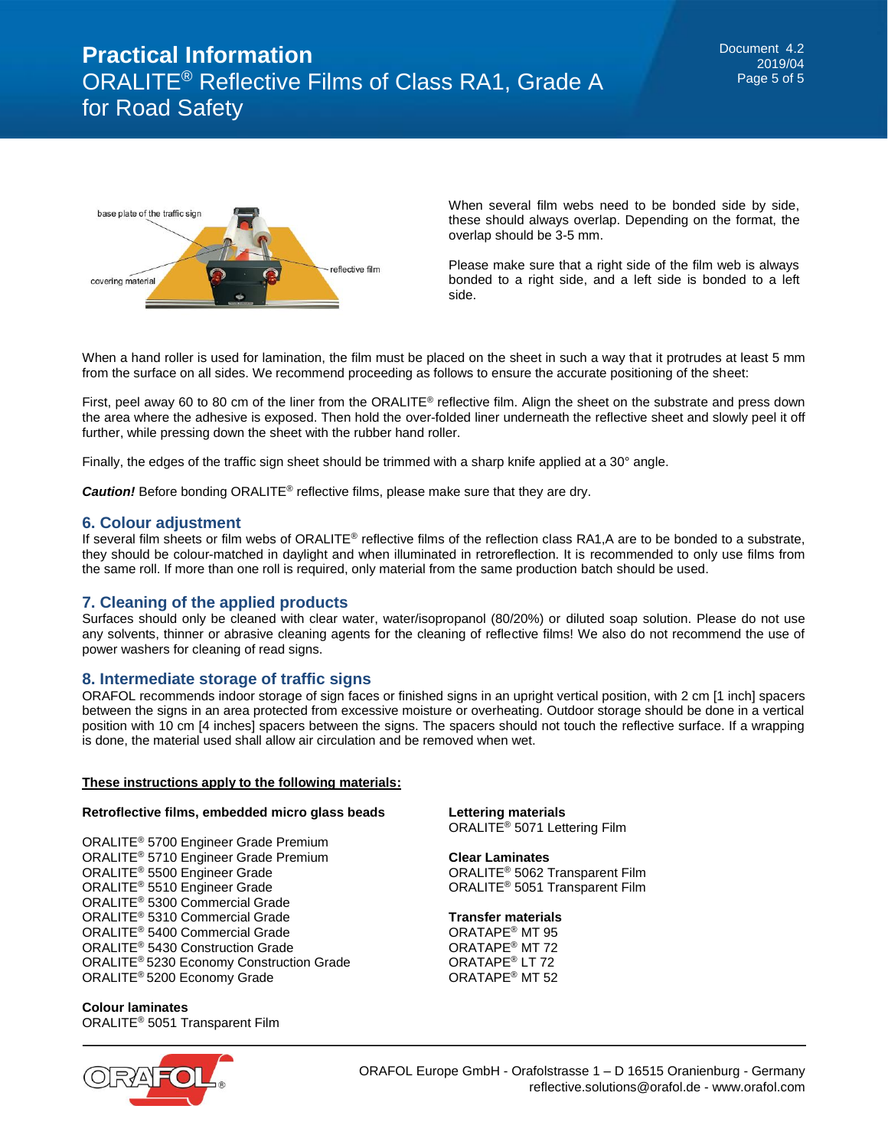

When several film webs need to be bonded side by side, these should always overlap. Depending on the format, the overlap should be 3-5 mm.

Please make sure that a right side of the film web is always bonded to a right side, and a left side is bonded to a left side.

When a hand roller is used for lamination, the film must be placed on the sheet in such a way that it protrudes at least 5 mm from the surface on all sides. We recommend proceeding as follows to ensure the accurate positioning of the sheet:

First, peel away 60 to 80 cm of the liner from the ORALITE<sup>®</sup> reflective film. Align the sheet on the substrate and press down the area where the adhesive is exposed. Then hold the over-folded liner underneath the reflective sheet and slowly peel it off further, while pressing down the sheet with the rubber hand roller.

Finally, the edges of the traffic sign sheet should be trimmed with a sharp knife applied at a 30° angle.

*Caution!* Before bonding ORALITE® reflective films, please make sure that they are dry.

#### **6. Colour adjustment**

If several film sheets or film webs of ORALITE<sup>®</sup> reflective films of the reflection class RA1,A are to be bonded to a substrate, they should be colour-matched in daylight and when illuminated in retroreflection. It is recommended to only use films from the same roll. If more than one roll is required, only material from the same production batch should be used.

#### **7. Cleaning of the applied products**

Surfaces should only be cleaned with clear water, water/isopropanol (80/20%) or diluted soap solution. Please do not use any solvents, thinner or abrasive cleaning agents for the cleaning of reflective films! We also do not recommend the use of power washers for cleaning of read signs.

#### **8. Intermediate storage of traffic signs**

ORAFOL recommends indoor storage of sign faces or finished signs in an upright vertical position, with 2 cm [1 inch] spacers between the signs in an area protected from excessive moisture or overheating. Outdoor storage should be done in a vertical position with 10 cm [4 inches] spacers between the signs. The spacers should not touch the reflective surface. If a wrapping is done, the material used shall allow air circulation and be removed when wet.

#### **These instructions apply to the following materials:**

#### **Retroflective films, embedded micro glass beads**

ORALITE® 5700 Engineer Grade Premium ORALITE® 5710 Engineer Grade Premium ORALITE® 5500 Engineer Grade ORALITE® 5510 Engineer Grade ORALITE® 5300 Commercial Grade ORALITE® 5310 Commercial Grade ORALITE® 5400 Commercial Grade ORALITE® 5430 Construction Grade ORALITE® 5230 Economy Construction Grade ORALITE® 5200 Economy Grade

**Colour laminates** ORALITE® 5051 Transparent Film



**Lettering materials** ORALITE® 5071 Lettering Film

**Clear Laminates** ORALITE® 5062 Transparent Film ORALITE® 5051 Transparent Film

#### **Transfer materials**

ORATAPE® MT 95 ORATAPE® MT 72 ORATAPE® LT 72 ORATAPE® MT 52